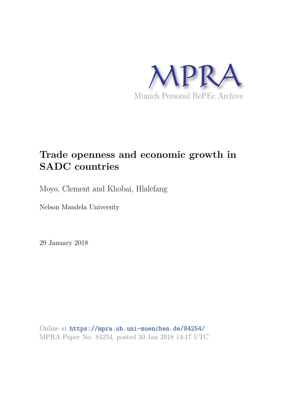

# **Trade openness and economic growth in SADC countries**

Moyo, Clement and Khobai, Hlalefang

Nelson Mandela University

29 January 2018

Online at https://mpra.ub.uni-muenchen.de/84254/ MPRA Paper No. 84254, posted 30 Jan 2018 14:17 UTC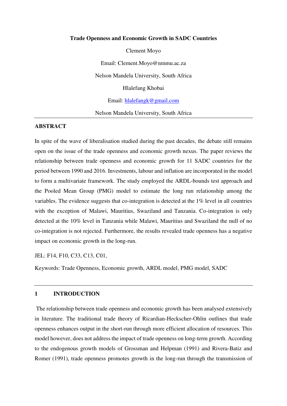#### **Trade Openness and Economic Growth in SADC Countries**

Clement Moyo Email: Clement.Moyo@nmmu.ac.za Nelson Mandela University, South Africa Hlalefang Khobai Email: [hlalefangk@gmail.com](mailto:hlalefangk@gmail.com)

Nelson Mandela University, South Africa

## **ABSTRACT**

In spite of the wave of liberalisation studied during the past decades, the debate still remains open on the issue of the trade openness and economic growth nexus. The paper reviews the relationship between trade openness and economic growth for 11 SADC countries for the period between 1990 and 2016. Investments, labour and inflation are incorporated in the model to form a multivariate framework. The study employed the ARDL-bounds test approach and the Pooled Mean Group (PMG) model to estimate the long run relationship among the variables. The evidence suggests that co-integration is detected at the 1% level in all countries with the exception of Malawi, Mauritius, Swaziland and Tanzania. Co-integration is only detected at the 10% level in Tanzania while Malawi, Mauritius and Swaziland the null of no co-integration is not rejected. Furthermore, the results revealed trade openness has a negative impact on economic growth in the long-run.

JEL: F14, F10, C33, C13, C01,

Keywords: Trade Openness, Economic growth, ARDL model, PMG model, SADC

#### **1 INTRODUCTION**

 The relationship between trade openness and economic growth has been analysed extensively in literature. The traditional trade theory of Ricardian-Heckscher-Ohlin outlines that trade openness enhances output in the short-run through more efficient allocation of resources. This model however, does not address the impact of trade openness on long-term growth. According to the endogenous growth models of Grossman and Helpman (1991) and Rivera-Batiz and Romer (1991), trade openness promotes growth in the long-run through the transmission of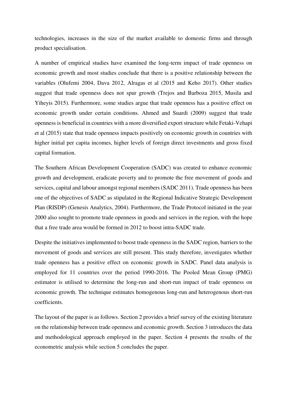technologies, increases in the size of the market available to domestic firms and through product specialisation.

A number of empirical studies have examined the long-term impact of trade openness on economic growth and most studies conclude that there is a positive relationship between the variables (Olufemi 2004, Dava 2012, Alragas et al (2015 and Keho 2017). Other studies suggest that trade openness does not spur growth (Trejos and Barboza 2015, Musila and Yiheyis 2015). Furthermore, some studies argue that trade openness has a positive effect on economic growth under certain conditions. Ahmed and Suardi (2009) suggest that trade openness is beneficial in countries with a more diversified export structure while Fetaki-Vehapi et al (2015) state that trade openness impacts positively on economic growth in countries with higher initial per capita incomes, higher levels of foreign direct investments and gross fixed capital formation.

The Southern African Development Cooperation (SADC) was created to enhance economic growth and development, eradicate poverty and to promote the free movement of goods and services, capital and labour amongst regional members (SADC 2011). Trade openness has been one of the objectives of SADC as stipulated in the Regional Indicative Strategic Development Plan (RISDP) (Genesis Analytics, 2004). Furthermore, the Trade Protocol initiated in the year 2000 also sought to promote trade openness in goods and services in the region, with the hope that a free trade area would be formed in 2012 to boost intra-SADC trade.

Despite the initiatives implemented to boost trade openness in the SADC region, barriers to the movement of goods and services are still present. This study therefore, investigates whether trade openness has a positive effect on economic growth in SADC. Panel data analysis is employed for 11 countries over the period 1990-2016. The Pooled Mean Group (PMG) estimator is utilised to determine the long-run and short-run impact of trade openness on economic growth. The technique estimates homogenous long-run and heterogenous short-run coefficients.

The layout of the paper is as follows. Section 2 provides a brief survey of the existing literature on the relationship between trade openness and economic growth. Section 3 introduces the data and methodological approach employed in the paper. Section 4 presents the results of the econometric analysis while section 5 concludes the paper.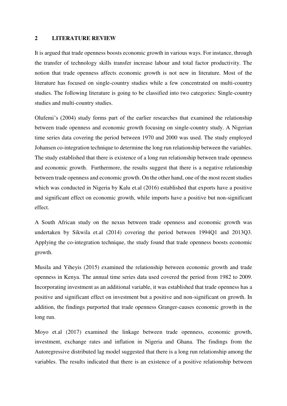### **2 LITERATURE REVIEW**

It is argued that trade openness boosts economic growth in various ways. For instance, through the transfer of technology skills transfer increase labour and total factor productivity. The notion that trade openness affects economic growth is not new in literature. Most of the literature has focused on single-country studies while a few concentrated on multi-country studies. The following literature is going to be classified into two categories: Single-country studies and multi-country studies.

Olufemi's (2004) study forms part of the earlier researches that examined the relationship between trade openness and economic growth focusing on single-country study. A Nigerian time series data covering the period between 1970 and 2000 was used. The study employed Johansen co-integration technique to determine the long run relationship between the variables. The study established that there is existence of a long run relationship between trade openness and economic growth. Furthermore, the results suggest that there is a negative relationship between trade openness and economic growth. On the other hand, one of the most recent studies which was conducted in Nigeria by Kalu et.al (2016) established that exports have a positive and significant effect on economic growth, while imports have a positive but non-significant effect.

A South African study on the nexus between trade openness and economic growth was undertaken by Sikwila et.al (2014) covering the period between 1994Q1 and 2013Q3. Applying the co-integration technique, the study found that trade openness boosts economic growth.

Musila and Yiheyis (2015) examined the relationship between economic growth and trade openness in Kenya. The annual time series data used covered the period from 1982 to 2009. Incorporating investment as an additional variable, it was established that trade openness has a positive and significant effect on investment but a positive and non-significant on growth. In addition, the findings purported that trade openness Granger-causes economic growth in the long run.

Moyo et.al (2017) examined the linkage between trade openness, economic growth, investment, exchange rates and inflation in Nigeria and Ghana. The findings from the Autoregressive distributed lag model suggested that there is a long run relationship among the variables. The results indicated that there is an existence of a positive relationship between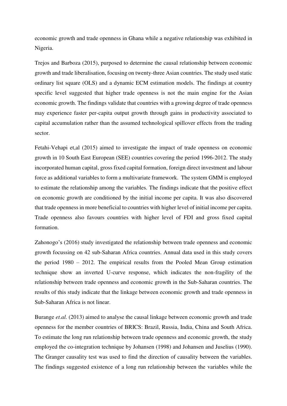economic growth and trade openness in Ghana while a negative relationship was exhibited in Nigeria.

Trejos and Barboza (2015), purposed to determine the causal relationship between economic growth and trade liberalisation, focusing on twenty-three Asian countries. The study used static ordinary list square (OLS) and a dynamic ECM estimation models. The findings at country specific level suggested that higher trade openness is not the main engine for the Asian economic growth. The findings validate that countries with a growing degree of trade openness may experience faster per-capita output growth through gains in productivity associated to capital accumulation rather than the assumed technological spillover effects from the trading sector.

Fetahi-Vehapi et,al (2015) aimed to investigate the impact of trade openness on economic growth in 10 South East European (SEE) countries covering the period 1996-2012. The study incorporated human capital, gross fixed capital formation, foreign direct investment and labour force as additional variables to form a multivariate framework. The system GMM is employed to estimate the relationship among the variables. The findings indicate that the positive effect on economic growth are conditioned by the initial income per capita. It was also discovered that trade openness in more beneficial to countries with higher level of initial income per capita. Trade openness also favours countries with higher level of FDI and gross fixed capital formation.

Zahonogo's (2016) study investigated the relationship between trade openness and economic growth focussing on 42 sub-Saharan Africa countries. Annual data used in this study covers the period 1980 – 2012. The empirical results from the Pooled Mean Group estimation technique show an inverted U-curve response, which indicates the non-fragility of the relationship between trade openness and economic growth in the Sub-Saharan countries. The results of this study indicate that the linkage between economic growth and trade openness in Sub-Saharan Africa is not linear.

Burange *et.al.* (2013) aimed to analyse the causal linkage between economic growth and trade openness for the member countries of BRICS: Brazil, Russia, India, China and South Africa. To estimate the long run relationship between trade openness and economic growth, the study employed the co-integration technique by Johansen (1998) and Johansen and Juselius (1990). The Granger causality test was used to find the direction of causality between the variables. The findings suggested existence of a long run relationship between the variables while the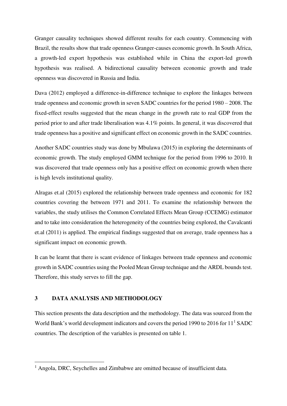Granger causality techniques showed different results for each country. Commencing with Brazil, the results show that trade openness Granger-causes economic growth. In South Africa, a growth-led export hypothesis was established while in China the export-led growth hypothesis was realised. A bidirectional causality between economic growth and trade openness was discovered in Russia and India.

Dava (2012) employed a difference-in-difference technique to explore the linkages between trade openness and economic growth in seven SADC countries for the period 1980 – 2008. The fixed-effect results suggested that the mean change in the growth rate to real GDP from the period prior to and after trade liberalisation was 4.1% points. In general, it was discovered that trade openness has a positive and significant effect on economic growth in the SADC countries.

Another SADC countries study was done by Mbulawa (2015) in exploring the determinants of economic growth. The study employed GMM technique for the period from 1996 to 2010. It was discovered that trade openness only has a positive effect on economic growth when there is high levels institutional quality.

Alragas et.al (2015) explored the relationship between trade openness and economic for 182 countries covering the between 1971 and 2011. To examine the relationship between the variables, the study utilises the Common Correlated Effects Mean Group (CCEMG) estimator and to take into consideration the heterogeneity of the countries being explored, the Cavalcanti et.al (2011) is applied. The empirical findings suggested that on average, trade openness has a significant impact on economic growth.

It can be learnt that there is scant evidence of linkages between trade openness and economic growth in SADC countries using the Pooled Mean Group technique and the ARDL bounds test. Therefore, this study serves to fill the gap.

## **3 DATA ANALYSIS AND METHODOLOGY**

 $\overline{a}$ 

This section presents the data description and the methodology. The data was sourced from the World Bank's world development indicators and covers the period 1990 to 2016 for  $11<sup>1</sup>$  SADC countries. The description of the variables is presented on table 1.

<sup>&</sup>lt;sup>1</sup> Angola, DRC, Seychelles and Zimbabwe are omitted because of insufficient data.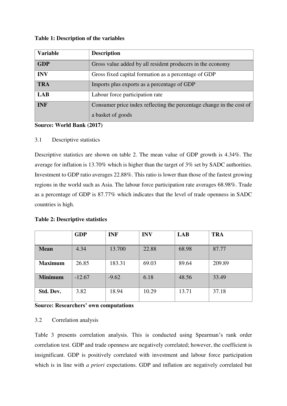| Table 1: Description of the variables |  |  |
|---------------------------------------|--|--|
|---------------------------------------|--|--|

| <b>Variable</b> | <b>Description</b>                                                                        |
|-----------------|-------------------------------------------------------------------------------------------|
| <b>GDP</b>      | Gross value added by all resident producers in the economy                                |
| <b>INV</b>      | Gross fixed capital formation as a percentage of GDP                                      |
| <b>TRA</b>      | Imports plus exports as a percentage of GDP                                               |
| <b>LAB</b>      | Labour force participation rate                                                           |
| <b>INF</b>      | Consumer price index reflecting the percentage change in the cost of<br>a basket of goods |

**Source: World Bank (2017)** 

# 3.1 Descriptive statistics

Descriptive statistics are shown on table 2. The mean value of GDP growth is 4.34%. The average for inflation is 13.70% which is higher than the target of 3% set by SADC authorities. Investment to GDP ratio averages 22.88%. This ratio is lower than those of the fastest growing regions in the world such as Asia. The labour force participation rate averages 68.98%. Trade as a percentage of GDP is 87.77% which indicates that the level of trade openness in SADC countries is high.

|  |  | <b>Table 2: Descriptive statistics</b> |  |
|--|--|----------------------------------------|--|
|--|--|----------------------------------------|--|

|                | <b>GDP</b> | <b>INF</b> | <b>INV</b> | LAB   | <b>TRA</b> |
|----------------|------------|------------|------------|-------|------------|
| <b>Mean</b>    | 4.34       | 13.700     | 22.88      | 68.98 | 87.77      |
| <b>Maximum</b> | 26.85      | 183.31     | 69.03      | 89.64 | 209.89     |
| <b>Minimum</b> | $-12.67$   | $-9.62$    | 6.18       | 48.56 | 33.49      |
| Std. Dev.      | 3.82       | 18.94      | 10.29      | 13.71 | 37.18      |

## **Source: Researchers' own computations**

## 3.2 Correlation analysis

Table 3 presents correlation analysis. This is conducted using Spearman's rank order correlation test. GDP and trade openness are negatively correlated; however, the coefficient is insignificant. GDP is positively correlated with investment and labour force participation which is in line with *a priori* expectations. GDP and inflation are negatively correlated but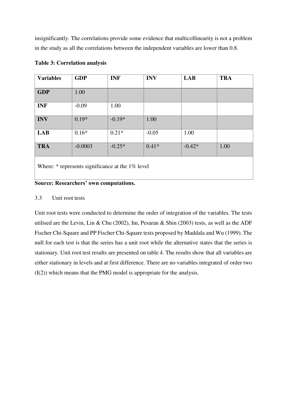insignificantly. The correlations provide some evidence that multicollinearity is not a problem in the study as all the correlations between the independent variables are lower than 0.8.

| <b>Variables</b>                                   | <b>GDP</b> | <b>INF</b> | <b>INV</b> | <b>LAB</b> | <b>TRA</b> |  |
|----------------------------------------------------|------------|------------|------------|------------|------------|--|
| <b>GDP</b>                                         | 1.00       |            |            |            |            |  |
| <b>INF</b>                                         | $-0.09$    | 1.00       |            |            |            |  |
| <b>INV</b>                                         | $0.19*$    | $-0.19*$   | 1.00       |            |            |  |
| <b>LAB</b>                                         | $0.16*$    | $0.21*$    | $-0.05$    | 1.00       |            |  |
| <b>TRA</b>                                         | $-0.0003$  | $-0.25*$   | $0.41*$    | $-0.42*$   | 1.00       |  |
| Where: $*$ represents significance at the 1% level |            |            |            |            |            |  |

# **Table 3: Correlation analysis**

**Source: Researchers' own computations.** 

## 3.3 Unit root tests

Unit root tests were conducted to determine the order of integration of the variables. The tests utilised are the Levin, Lin & Chu (2002), Im, Pesaran & Shin (2003) tests, as well as the ADF Fischer Chi-Square and PP Fischer Chi-Square tests proposed by Maddala and Wu (1999). The null for each test is that the series has a unit root while the alternative states that the series is stationary. Unit root test results are presented on table 4. The results show that all variables are either stationary in levels and at first difference. There are no variables integrated of order two (I(2)) which means that the PMG model is appropriate for the analysis.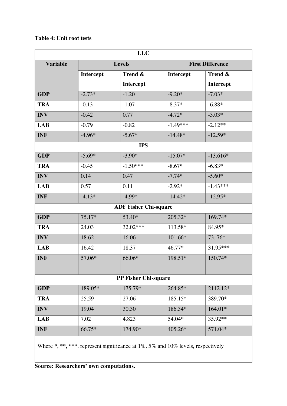# **Table 4: Unit root tests**

| <b>LLC</b>      |           |                              |            |                         |  |
|-----------------|-----------|------------------------------|------------|-------------------------|--|
| <b>Variable</b> |           | <b>Levels</b>                |            | <b>First Difference</b> |  |
|                 | Intercept | Trend &                      | Intercept  | Trend &                 |  |
|                 |           | Intercept                    |            | Intercept               |  |
| <b>GDP</b>      | $-2.73*$  | $-1.20$                      | $-9.20*$   | $-7.03*$                |  |
| <b>TRA</b>      | $-0.13$   | $-1.07$                      | $-8.37*$   | $-6.88*$                |  |
| <b>INV</b>      | $-0.42$   | 0.77                         | $-4.72*$   | $-3.03*$                |  |
| <b>LAB</b>      | $-0.79$   | $-0.82$                      | $-1.49***$ | $-2.12**$               |  |
| <b>INF</b>      | $-4.96*$  | $-5.67*$                     | $-14.48*$  | $-12.59*$               |  |
|                 |           | <b>IPS</b>                   |            |                         |  |
| <b>GDP</b>      | $-5.69*$  | $-3.90*$                     | $-15.07*$  | $-13.616*$              |  |
| <b>TRA</b>      | $-0.45$   | $-1.50***$                   | $-8.67*$   | $-6.83*$                |  |
| <b>INV</b>      | 0.14      | 0.47                         | $-7.74*$   | $-5.60*$                |  |
| <b>LAB</b>      | 0.57      | 0.11                         | $-2.92*$   | $-1.43***$              |  |
| <b>INF</b>      | $-4.13*$  | $-4.99*$                     | $-14.42*$  | $-12.95*$               |  |
|                 |           | <b>ADF Fisher Chi-square</b> |            |                         |  |
| <b>GDP</b>      | 75.17*    | 53.40*                       | 205.32*    | 169.74*                 |  |
| <b>TRA</b>      | 24.03     | 32.02***                     | 113.58*    | 84.95*                  |  |
| <b>INV</b>      | 18.62     | 16.06                        | 101.66*    | 7376*                   |  |
| <b>LAB</b>      | 16.42     | 18.37                        | 46.77*     | 31.95***                |  |
| <b>INF</b>      | 57.06*    | 66.06*                       | 198.51*    | 150.74*                 |  |
|                 |           |                              |            |                         |  |
|                 |           | PP Fisher Chi-square         |            |                         |  |
| <b>GDP</b>      | 189.05*   | 175.79*                      | 264.85*    | 2112.12*                |  |
| <b>TRA</b>      | 25.59     | 27.06                        | 185.15*    | 389.70*                 |  |
| <b>INV</b>      | 19.04     | 30.30                        | 186.34*    | $164.01*$               |  |
| <b>LAB</b>      | 7.02      | 4.823                        | 54.04*     | 35.92**                 |  |
| <b>INF</b>      | 66.75*    | 174.90*                      | 405.26*    | 571.04*                 |  |
|                 |           |                              |            |                         |  |

Where \*, \*\*\*, represent significance at 1%, 5% and 10% levels, respectively

**Source: Researchers' own computations.**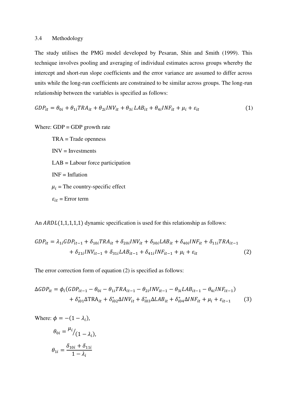#### 3.4 Methodology

The study utilises the PMG model developed by Pesaran, Shin and Smith (1999). This technique involves pooling and averaging of individual estimates across groups whereby the intercept and short-run slope coefficients and the error variance are assumed to differ across units while the long-run coefficients are constrained to be similar across groups. The long-run relationship between the variables is specified as follows:

$$
GDP_{it} = \theta_{0i} + \theta_{1i} TRA_{it} + \theta_{2i} INV_{it} + \theta_{3i} LAB_{it} + \theta_{4i} INF_{it} + \mu_i + \varepsilon_{it}
$$
(1)

Where:  $GDP = GDP$  growth rate

 TRA = Trade openness  $INV = Investments$  $LAB =$ Labour force participation  $INF = Inflation$  $\mu_i$  = The country-specific effect  $\varepsilon_{it}$  = Error term

An  $ARDL(1,1,1,1,1)$  dynamic specification is used for this relationship as follows:

$$
GDP_{it} = \lambda_{1i} GDP_{it-1} + \delta_{10i} TRA_{it} + \delta_{20i} INV_{it} + \delta_{30i} LAB_{it} + \delta_{40i} INF_{it} + \delta_{11i} TRA_{it-1} + \delta_{21i} INV_{it-1} + \delta_{31i} LAB_{it-1} + \delta_{41i} INF_{it-1} + \mu_i + \varepsilon_{it}
$$
\n(2)

The error correction form of equation (2) is specified as follows:

$$
\Delta GDP_{it} = \phi_i (GDP_{it-1} - \theta_{0i} - \theta_{1i} TRA_{it-1} - \theta_{2i} INV_{it-1} - \theta_{3i} LAB_{it-1} - \theta_{4i} INF_{it-1})
$$
  
+  $\delta_{i01}^* \Delta TRA_{it} + \delta_{i02}^* \Delta INV_{it} + \delta_{i03}^* \Delta LAB_{it} + \delta_{i04}^* \Delta INF_{it} + \mu_i + \varepsilon_{it-1}$  (3)

Where:  $\phi = -(1 - \lambda_i)$ ,

$$
\theta_{0i} = \frac{\mu_i}{(1 - \lambda_i)},
$$

$$
\theta_{1i} = \frac{\delta_{10i} + \delta_{11i}}{1 - \lambda_i}
$$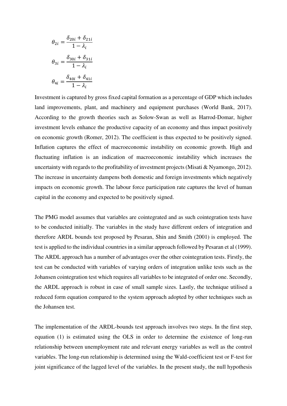$$
\theta_{2i} = \frac{\delta_{20i} + \delta_{21i}}{1 - \lambda_i}
$$

$$
\theta_{3i} = \frac{\delta_{30i} + \delta_{31i}}{1 - \lambda_i}
$$

$$
\theta_{4i} = \frac{\delta_{40i} + \delta_{41i}}{1 - \lambda_i}
$$

Investment is captured by gross fixed capital formation as a percentage of GDP which includes land improvements, plant, and machinery and equipment purchases (World Bank, 2017). According to the growth theories such as Solow-Swan as well as Harrod-Domar, higher investment levels enhance the productive capacity of an economy and thus impact positively on economic growth (Romer, 2012). The coefficient is thus expected to be positively signed. Inflation captures the effect of macroeconomic instability on economic growth. High and fluctuating inflation is an indication of macroeconomic instability which increases the uncertainty with regards to the profitability of investment projects (Misati & Nyamongo, 2012). The increase in uncertainty dampens both domestic and foreign investments which negatively impacts on economic growth. The labour force participation rate captures the level of human capital in the economy and expected to be positively signed.

The PMG model assumes that variables are cointegrated and as such cointegration tests have to be conducted initially. The variables in the study have different orders of integration and therefore ARDL bounds test proposed by Pesaran, Shin and Smith (2001) is employed. The test is applied to the individual countries in a similar approach followed by Pesaran et al (1999). The ARDL approach has a number of advantages over the other cointegration tests. Firstly, the test can be conducted with variables of varying orders of integration unlike tests such as the Johansen cointegration test which requires all variables to be integrated of order one. Secondly, the ARDL approach is robust in case of small sample sizes. Lastly, the technique utilised a reduced form equation compared to the system approach adopted by other techniques such as the Johansen test.

The implementation of the ARDL-bounds test approach involves two steps. In the first step, equation (1) is estimated using the OLS in order to determine the existence of long-run relationship between unemployment rate and relevant energy variables as well as the control variables. The long-run relationship is determined using the Wald-coefficient test or F-test for joint significance of the lagged level of the variables. In the present study, the null hypothesis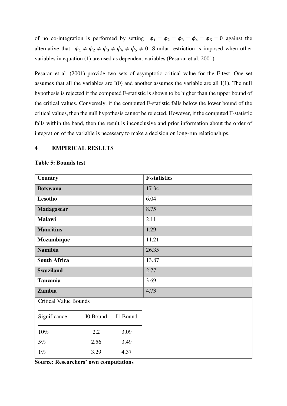of no co-integration is performed by setting  $\phi_1 = \phi_2 = \phi_3 = \phi_4 = \phi_5 = 0$  against the alternative that  $\phi_1 \neq \phi_2 \neq \phi_3 \neq \phi_4 \neq \phi_5 \neq 0$ . Similar restriction is imposed when other variables in equation (1) are used as dependent variables (Pesaran et al. 2001).

Pesaran et al. (2001) provide two sets of asymptotic critical value for the F-test. One set assumes that all the variables are I(0) and another assumes the variable are all I(1). The null hypothesis is rejected if the computed F-statistic is shown to be higher than the upper bound of the critical values. Conversely, if the computed F-statistic falls below the lower bound of the critical values, then the null hypothesis cannot be rejected. However, if the computed F-statistic falls within the band, then the result is inconclusive and prior information about the order of integration of the variable is necessary to make a decision on long-run relationships.

## **4 EMPIRICAL RESULTS**

| <b>Country</b>               |          |          | <b>F-statistics</b> |
|------------------------------|----------|----------|---------------------|
| <b>Botswana</b>              |          |          | 17.34               |
| Lesotho                      |          |          | 6.04                |
| Madagascar                   |          |          | 8.75                |
| <b>Malawi</b>                |          |          | 2.11                |
| <b>Mauritius</b>             |          |          | 1.29                |
| Mozambique                   |          |          | 11.21               |
| <b>Namibia</b>               |          |          | 26.35               |
| <b>South Africa</b>          |          |          | 13.87               |
| <b>Swaziland</b>             |          |          | 2.77                |
| <b>Tanzania</b>              |          |          | 3.69                |
| Zambia                       |          |          | 4.73                |
| <b>Critical Value Bounds</b> |          |          |                     |
| Significance                 | I0 Bound | I1 Bound |                     |
| $10\%$                       | 2.2      | 3.09     |                     |
| $5\%$                        | 2.56     | 3.49     |                     |
| $1\%$                        | 3.29     | 4.37     |                     |

#### **Table 5: Bounds test**

**Source: Researchers' own computations**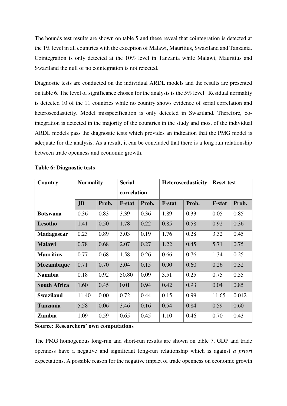The bounds test results are shown on table 5 and these reveal that cointegration is detected at the 1% level in all countries with the exception of Malawi, Mauritius, Swaziland and Tanzania. Cointegration is only detected at the 10% level in Tanzania while Malawi, Mauritius and Swaziland the null of no cointegration is not rejected.

Diagnostic tests are conducted on the individual ARDL models and the results are presented on table 6. The level of significance chosen for the analysis is the 5% level. Residual normality is detected 10 of the 11 countries while no country shows evidence of serial correlation and heteroscedasticity. Model misspecification is only detected in Swaziland. Therefore, cointegration is detected in the majority of the countries in the study and most of the individual ARDL models pass the diagnostic tests which provides an indication that the PMG model is adequate for the analysis. As a result, it can be concluded that there is a long run relationship between trade openness and economic growth.

| Country             | <b>Normality</b> |       | <b>Serial</b> |       | <b>Heteroscedasticity</b> |       | <b>Reset test</b> |       |  |
|---------------------|------------------|-------|---------------|-------|---------------------------|-------|-------------------|-------|--|
|                     |                  |       | correlation   |       |                           |       |                   |       |  |
|                     | J <sub>B</sub>   | Prob. | <b>F-stat</b> | Prob. | <b>F-stat</b>             | Prob. | <b>F-stat</b>     | Prob. |  |
| <b>Botswana</b>     | 0.36             | 0.83  | 3.39          | 0.36  | 1.89                      | 0.33  | 0.05              | 0.85  |  |
| Lesotho             | 1.41             | 0.50  | 1.78          | 0.22  | 0.85                      | 0.58  | 0.92              | 0.36  |  |
| <b>Madagascar</b>   | 0.23             | 0.89  | 3.03          | 0.19  | 1.76                      | 0.28  | 3.32              | 0.45  |  |
| <b>Malawi</b>       | 0.78             | 0.68  | 2.07          | 0.27  | 1.22                      | 0.45  | 5.71              | 0.75  |  |
| <b>Mauritius</b>    | 0.77             | 0.68  | 1.58          | 0.26  | 0.66                      | 0.76  | 1.34              | 0.25  |  |
| Mozambique          | 0.71             | 0.70  | 3.04          | 0.15  | 0.90                      | 0.60  | 0.26              | 0.32  |  |
| <b>Namibia</b>      | 0.18             | 0.92  | 50.80         | 0.09  | 3.51                      | 0.25  | 0.75              | 0.55  |  |
| <b>South Africa</b> | 1.60             | 0.45  | 0.01          | 0.94  | 0.42                      | 0.93  | 0.04              | 0.85  |  |
| <b>Swaziland</b>    | 11.40            | 0.00  | 0.72          | 0.44  | 0.15                      | 0.99  | 11.65             | 0.012 |  |
| <b>Tanzania</b>     | 5.58             | 0.06  | 3.46          | 0.16  | 0.54                      | 0.84  | 0.59              | 0.60  |  |
| Zambia              | 1.09             | 0.59  | 0.65          | 0.45  | 1.10                      | 0.46  | 0.70              | 0.43  |  |

## **Table 6: Diagnostic tests**

**Source: Researchers' own computations**

The PMG homogenous long-run and short-run results are shown on table 7. GDP and trade openness have a negative and significant long-run relationship which is against *a priori* expectations. A possible reason for the negative impact of trade openness on economic growth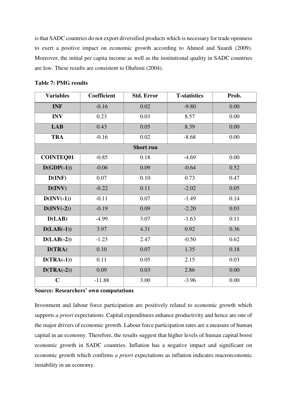is that SADC countries do not export diversified products which is necessary for trade openness to exert a positive impact on economic growth according to Ahmed and Suardi (2009). Moreover, the initial per capita income as well as the institutional quality in SADC countries are low. These results are consistent to Olufemi (2004).

| <b>Variables</b> | Coefficient | <b>Std. Error</b> | <b>T-statistics</b> | Prob. |
|------------------|-------------|-------------------|---------------------|-------|
| <b>INF</b>       | $-0.16$     | 0.02              | $-9.80$             | 0.00  |
| <b>INV</b>       | 0.23        | 0.03              | 8.57                | 0.00  |
| <b>LAB</b>       | 0.43        | 0.05              | 8.39                | 0.00  |
| <b>TRA</b>       | $-0.16$     | 0.02              | $-8.68$             | 0.00  |
|                  |             | <b>Short run</b>  |                     |       |
| <b>COINTEQ01</b> | $-0.85$     | 0.18              | $-4.69$             | 0.00  |
| $D(GDP(-1))$     | $-0.06$     | 0.09              | $-0.64$             | 0.52  |
| D(INF)           | 0.07        | 0.10              | 0.73                | 0.47  |
| D(INV)           | $-0.22$     | 0.11              | $-2.02$             | 0.05  |
| $D(INV(-1))$     | $-0.11$     | 0.07              | $-1.49$             | 0.14  |
| $D(INV(-2))$     | $-0.19$     | 0.09              | $-2.20$             | 0.03  |
| D(LAB)           | $-4.99$     | 3.07              | $-1.63$             | 0.11  |
| $D(LAB(-1))$     | 3.97        | 4.31              | 0.92                | 0.36  |
| $D(LAB(-2))$     | $-1.23$     | 2.47              | $-0.50$             | 0.62  |
| D(TRA)           | 0.10        | 0.07              | 1.35                | 0.18  |
| $D(TRA(-1))$     | 0.11        | 0.05              | 2.15                | 0.03  |
| $D(TRA(-2))$     | 0.09        | 0.03              | 2.86                | 0.00  |
| $\mathbf C$      | $-11.88$    | 3.00              | $-3.96$             | 0.00  |

# **Table 7: PMG results**

**Source: Researchers' own computations**

Investment and labour force participation are positively related to economic growth which supports *a priori* expectations. Capital expenditures enhance productivity and hence are one of the major drivers of economic growth. Labour force participation rates are a measure of human capital in an economy. Therefore, the results suggest that higher levels of human capital boost economic growth in SADC countries. Inflation has a negative impact and significant on economic growth which confirms *a priori* expectations as inflation indicates macroeconomic instability in an economy.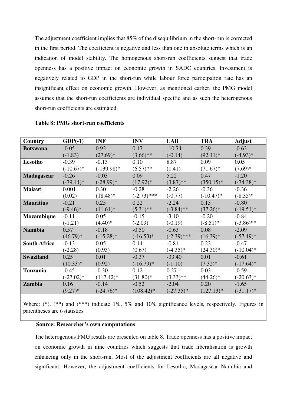The adjustment coefficient implies that 85% of the disequilibrium in the short-run is corrected in the first period. The coefficient is negative and less than one in absolute terms which is an indication of model stability. The homogenous short-run coefficients suggest that trade openness has a positive impact on economic growth in SADC countries. Investment is negatively related to GDP in the short-run while labour force participation rate has an insignificant effect on economic growth. However, as mentioned earlier, the PMG model assumes that the short-run coefficients are individual specific and as such the heterogenous short-run coefficients are estimated.

| <b>Country</b>      | $GDP(-1)$    | <b>INF</b>   | <b>INV</b>    | <b>LAB</b>    | <b>TRA</b>   | <b>Adjust</b> |
|---------------------|--------------|--------------|---------------|---------------|--------------|---------------|
| <b>Botswana</b>     | $-0.05$      | 0.92         | 0.17          | $-10.74$      | 0.39         | $-0.63$       |
|                     | $(-1.83)$    | $(27.69)*$   | $(3.66)$ **   | $(-0.14)$     | $(92.11)*$   | $(-4.93)*$    |
| Lesotho             | $-0.39$      | $-0.13$      | 0.10          | 8.87          | 0.09         | 0.05          |
|                     | $(-10.67)*$  | $(-139.98)*$ | $(6.57)$ **   | (1.41)        | $(71.67)*$   | $(7.69)*$     |
| <b>Madagascar</b>   | $-0.26$      | $-0.03$      | 0.09          | 5.22          | 0.47         | $-1.20$       |
|                     | $(-79.44)$ * | $(-28.99)*$  | $(17.92)^*$   | $(3.87)$ **   | $(350.15)*$  | $(-74.38)$ *  |
| <b>Malawi</b>       | 0.001        | 0.30         | $-0.28$       | $-2.26$       | $-0.36$      | $-0.36$       |
|                     | (0.02)       | $(18.48)$ *  | $(-2.73)$ *** | $(-0.77)$     | $(-10.47)$ * | $(-8.35)*$    |
| <b>Mauritius</b>    | $-0.21$      | 0.25         | 0.22          | $-2.24$       | 0.13         | $-0.80$       |
|                     | $(-9.46)*$   | $(11.61)^*$  | $(5.31)$ **   | $(-3.84)$ **  | $(37.26)^*$  | $(-19.51)^*$  |
| Mozambique          | $-0.11$      | 0.05         | $-0.15$       | $-3.10$       | $-0.20$      | $-0.84$       |
|                     | $(-1.21)$    | $(4.40)*$    | $(-2.09)$     | $(-0.19)$     | $(-8.51)^*$  | $(-3.86)$ **  |
| <b>Namibia</b>      | 0.57         | $-0.18$      | $-0.50$       | $-0.63$       | 0.08         | $-2.09$       |
|                     | $(46.79)*$   | $(-15.28)$ * | $(-16.53)*$   | $(-2.39)$ *** | $(16.39)^*$  | $(-57.19)^*$  |
| <b>South Africa</b> | $-0.13$      | 0.05         | 0.14          | $-0.81$       | 0.23         | $-0.47$       |
|                     | $(-2.28)$    | (0.93)       | (0.67)        | $(-4.35)*$    | $(24.30)^*$  | $(-10.04)$ *  |
| <b>Swaziland</b>    | 0.25         | 0.01         | $-0.37$       | $-33.40$      | 0.01         | $-0.61$       |
|                     | $(10.33)*$   | (0.92)       | $(-16.79)^*$  | $(-1.10)$     | $(7.32)*$    | $(-17.64)$ *  |
| <b>Tanzania</b>     | $-0.45$      | $-0.30$      | 0.12          | 0.27          | 0.03         | $-0.59$       |
|                     | $(-27.02)^*$ | $(117.42)^*$ | $(31.80)$ *   | $(3.33)$ **   | $(44.26)^*$  | $(-20.63)*$   |
| Zambia              | 0.16         | $-0.14$      | $-0.52$       | $-2.04$       | 0.20         | $-1.65$       |
|                     | $(9.27)*$    | $(-24.76)*$  | $(108.42)^*$  | $(-27.35)^*$  | $(127.13)*$  | $(-31.17)$ *  |

## **Table 8: PMG short-run coefficients**

Where: (**\***), (**\*\***) and (**\*\*\***) indicate 1%, 5% and 10% significance levels, respectively. Figures in parentheses are t-statistics

## **Source: Researcher's own computations**

The heterogenous PMG results are presented on table 8. Trade openness has a positive impact on economic growth in nine countries which suggests that trade liberalisation is growth enhancing only in the short-run. Most of the adjustment coefficients are all negative and significant. However, the adjustment coefficients for Lesotho, Madagascar Namibia and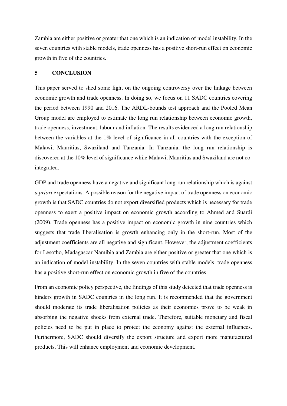Zambia are either positive or greater that one which is an indication of model instability. In the seven countries with stable models, trade openness has a positive short-run effect on economic growth in five of the countries.

## **5 CONCLUSION**

This paper served to shed some light on the ongoing controversy over the linkage between economic growth and trade openness. In doing so, we focus on 11 SADC countries covering the period between 1990 and 2016. The ARDL-bounds test approach and the Pooled Mean Group model are employed to estimate the long run relationship between economic growth, trade openness, investment, labour and inflation. The results evidenced a long run relationship between the variables at the 1% level of significance in all countries with the exception of Malawi, Mauritius, Swaziland and Tanzania. In Tanzania, the long run relationship is discovered at the 10% level of significance while Malawi, Mauritius and Swaziland are not cointegrated.

GDP and trade openness have a negative and significant long-run relationship which is against *a priori* expectations. A possible reason for the negative impact of trade openness on economic growth is that SADC countries do not export diversified products which is necessary for trade openness to exert a positive impact on economic growth according to Ahmed and Suardi (2009). Trade openness has a positive impact on economic growth in nine countries which suggests that trade liberalisation is growth enhancing only in the short-run. Most of the adjustment coefficients are all negative and significant. However, the adjustment coefficients for Lesotho, Madagascar Namibia and Zambia are either positive or greater that one which is an indication of model instability. In the seven countries with stable models, trade openness has a positive short-run effect on economic growth in five of the countries.

From an economic policy perspective, the findings of this study detected that trade openness is hinders growth in SADC countries in the long run. It is recommended that the government should moderate its trade liberalisation policies as their economies prove to be weak in absorbing the negative shocks from external trade. Therefore, suitable monetary and fiscal policies need to be put in place to protect the economy against the external influences. Furthermore, SADC should diversify the export structure and export more manufactured products. This will enhance employment and economic development.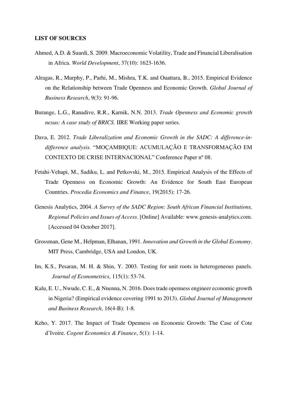#### **LIST OF SOURCES**

- Ahmed, A.D. & Suardi, S. 2009. Macroeconomic Volatility, Trade and Financial Liberalisation in Africa. *World Development*, 37(10): 1623-1636.
- Alragas, R., Murphy, P., Parhi, M., Mishra, T.K. and Ouattara, B., 2015. Empirical Evidence on the Relationship between Trade Openness and Economic Growth. *Global Journal of Business Research*, 9(3): 91-96.
- Burange, L.G., Ranadive, R.R., Karnik, N.N. 2013. *Trade Openness and Economic growth nexus: A case study of BRICS*. IIRE Working paper series.
- Dava, E. 2012. *Trade Liberalization and Economic Growth in the SADC: A difference-indifference analysis.* "MOÇAMBIQUE: ACUMULAÇÃO E TRANSFORMAÇÃO EM CONTEXTO DE CRISE INTERNACIONAL" Conference Paper nº 08.
- Fetahi-Vehapi, M., Sadiku, L. and Petkovski, M., 2015. Empirical Analysis of the Effects of Trade Openness on Economic Growth: An Evidence for South East European Countries. *Procedia Economics and Finance*, 19(2015): 17-26.
- Genesis Analytics, 2004. *A Survey of the SADC Region: South African Financial Institutions, Regional Policies and Issues of Access*. [Online] Available: www.genesis-analytics.com. [Accessed 04 October 2017].
- Grossman, Gene M., Helpman, Elhanan, 1991. *Innovation and Growth in the Global Economy*. MIT Press, Cambridge, USA and London, UK.
- Im, K.S., Pesaran, M. H. & Shin, Y. 2003. Testing for unit roots in heterogeneous panels. *Journal of Econometrics*, 115(1): 53-74.
- Kalu, E. U., Nwude, C. E., & Nnenna, N. 2016. Does trade openness engineer economic growth in Nigeria? (Empirical evidence covering 1991 to 2013). *Global Journal of Management and Business Research*, 16(4-B): 1-8.
- Keho, Y. 2017. The Impact of Trade Openness on Economic Growth: The Case of Cote d'Ivoire. *Cogent Economics & Finance*, 5(1): 1-14.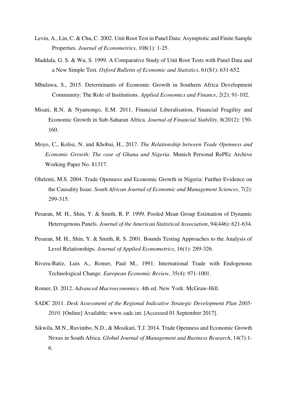- Levin, A., Lin, C. & Chu, C. 2002. Unit Root Test in Panel Data: Asymptotic and Finite Sample Properties. *Journal of Econometrics*, 108(1): 1-25.
- Maddala, G. S. & Wu, S. 1999. A Comparative Study of Unit Root Tests with Panel Data and a New Simple Test. *Oxford Bulletin of Economic and Statistics*, 61(S1): 631-652.
- Mbulawa, S., 2015. Determinants of Economic Growth in Southern Africa Development Community: The Role of Institutions. *Applied Economics and Finance*, *2*(2): 91-102.
- Misati, R.N. & Nyamongo, E.M. 2011. Financial Liberalisation, Financial Fragility and Economic Growth in Sub-Saharan Africa. *Journal of Financial Stability*, 8(2012): 150- 160.
- Moyo, C., Kolisi, N. and Khobai, H., 2017. *The Relationship between Trade Openness and Economic Growth: The case of Ghana and Nigeria*. Munich Personal RePEc Archive Working Paper No. 81317.
- Olufemi, M.S. 2004. Trade Openness and Economic Growth in Nigeria: Further Evidence on the Causality Issue. *South African Journal of Economic and Management Sciences*, 7(2): 299-315.
- Pesaran, M. H., Shin, Y. & Smith, R. P. 1999. Pooled Mean Group Estimation of Dynamic Heterogenous Panels. *Journal of the American Statistical Association*, 94(446): 621-634.
- Pesaran, M. H., Shin, Y. & Smith, R. S. 2001. Bounds Testing Approaches to the Analysis of Level Relationships. *Journal of Applied Econometrics*, 16(1): 289-326.
- Rivera-Batiz, Luis A., Romer, Paul M., 1991. International Trade with Endogenous Technological Change. *European Economic Review,* 35(4): 971-1001.
- Romer, D. 2012. *Advanced Macroeconomics*. 4th ed. New York: McGraw-Hill.
- SADC 2011. *Desk Assessment of the Regional Indicative Strategic Development Plan 2005- 2010*. [Online] Available: www.sadc.int. [Accessed 01 September 2017].
- Sikwila, M.N., Ruvimbo, N.D., & Mosikari, T.J. 2014. Trade Openness and Economic Growth Nexus in South Africa. *Global Journal of Management and Business Research*, 14(7):1- 6.